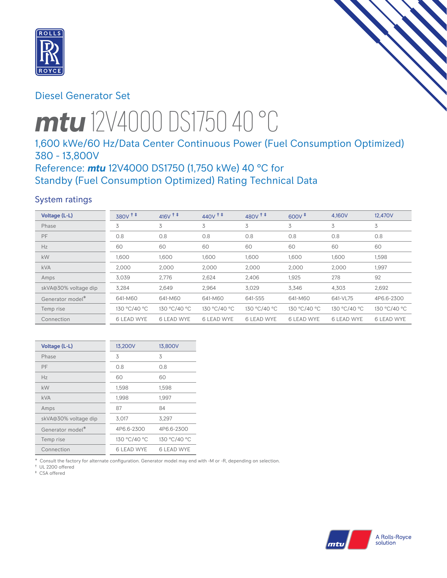

# Diesel Generator Set

# *mtu* 12V4000 DS1750 40 °C

# 1,600 kWe/60 Hz/Data Center Continuous Power (Fuel Consumption Optimized) 380 - 13,800V

# Reference: *mtu* 12V4000 DS1750 (1,750 kWe) 40 °C for Standby (Fuel Consumption Optimized) Rating Technical Data

# System ratings

| Voltage (L-L)        | $380V$ <sup>++</sup> | $416V$ <sup>++</sup> | $440V$ <sup>++</sup> | 480 $V$ <sup><math>\ddagger</math></sup> $\ddagger$ | $600V^{\ddagger}$ | 4,160V            | 12,470V           |
|----------------------|----------------------|----------------------|----------------------|-----------------------------------------------------|-------------------|-------------------|-------------------|
| Phase                | 3                    | 3                    | 3                    | 3                                                   | 3                 | 3                 | 3                 |
| PF                   | 0.8                  | 0.8                  | 0.8                  | 0.8                                                 | 0.8               | 0.8               | 0.8               |
| Hz                   | 60                   | 60                   | 60                   | 60                                                  | 60                | 60                | 60                |
| kW                   | 1.600                | 1,600                | 1,600                | 1,600                                               | 1,600             | 1,600             | 1,598             |
| <b>kVA</b>           | 2,000                | 2,000                | 2,000                | 2,000                                               | 2,000             | 2,000             | 1,997             |
| Amps                 | 3,039                | 2,776                | 2,624                | 2,406                                               | 1,925             | 278               | 92                |
| skVA@30% voltage dip | 3,284                | 2,649                | 2,964                | 3,029                                               | 3,346             | 4,303             | 2,692             |
| Generator model*     | 641-M60              | 641-M60              | 641-M60              | 641-S55                                             | 641-M60           | 641-VL75          | 4P6.6-2300        |
| Temp rise            | 130 °C/40 °C         | 130 °C/40 °C         | 130 °C/40 °C         | 130 °C/40 °C                                        | 130 °C/40 °C      | 130 °C/40 °C      | 130 °C/40 °C      |
| Connection           | <b>6 LEAD WYE</b>    | <b>6 LEAD WYE</b>    | <b>6 LEAD WYE</b>    | <b>6 LEAD WYE</b>                                   | <b>6 LEAD WYE</b> | <b>6 LEAD WYE</b> | <b>6 LEAD WYE</b> |

| Voltage (L-L)                | 13,200V      | 13,800V      |
|------------------------------|--------------|--------------|
| Phase                        | 3            | 3            |
| PF                           | 0.8          | 0.8          |
| Hz                           | 60           | 60           |
| kW                           | 1,598        | 1,598        |
| kVA                          | 1,998        | 1,997        |
| Amps                         | 87           | 84           |
| skVA@30% voltage dip         | 3,017        | 3,297        |
| Generator model <sup>*</sup> | 4P6.6-2300   | 4P6.6-2300   |
| Temp rise                    | 130 °C/40 °C | 130 °C/40 °C |
| Connection                   | 6 LEAD WYE   | 6 LEAD WYE   |

\* Consult the factory for alternate configuration. Generator model may end with -M or -R, depending on selection.

† UL 2200 offered ‡ CSA offered

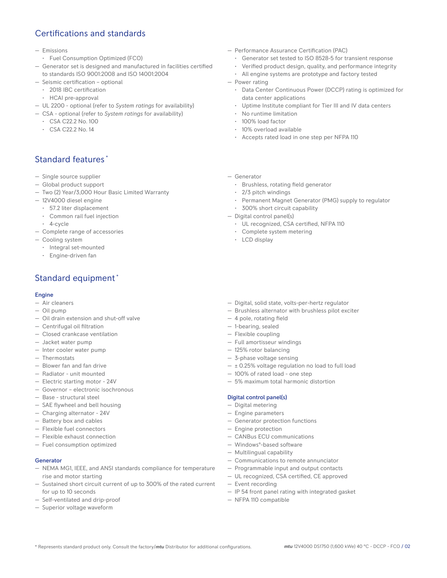# Certifications and standards

- Emissions
- Fuel Consumption Optimized (FCO)
- Generator set is designed and manufactured in facilities certified to standards ISO 9001:2008 and ISO 14001:2004
- Seismic certification optional
- 2018 IBC certification
- HCAI pre-approval
- UL 2200 optional (refer to *System ratings* for availability)
- CSA optional (refer to *System ratings* for availability)
	- CSA C22.2 No. 100
	- CSA C22.2 No. 14

# Standard features \*

- Single source supplier
- Global product support
- Two (2) Year/3,000 Hour Basic Limited Warranty
- 12V4000 diesel engine
	- 57.2 liter displacement
	- Common rail fuel injection
	- 4-cycle
- Complete range of accessories
- Cooling system
	- Integral set-mounted
	- Engine-driven fan

# Standard equipment \*

#### Engine

- Air cleaners
- Oil pump
- Oil drain extension and shut-off valve
- Centrifugal oil filtration
- Closed crankcase ventilation
- Jacket water pump
- Inter cooler water pump
- Thermostats
- Blower fan and fan drive
- Radiator unit mounted
- Electric starting motor 24V
- Governor electronic isochronous
- Base structural steel
- SAE flywheel and bell housing
- Charging alternator 24V
- Battery box and cables
- Flexible fuel connectors
- Flexible exhaust connection
- Fuel consumption optimized

#### Generator

- NEMA MG1, IEEE, and ANSI standards compliance for temperature rise and motor starting
- Sustained short circuit current of up to 300% of the rated current for up to 10 seconds
- Self-ventilated and drip-proof
- Superior voltage waveform
- Performance Assurance Certification (PAC)
	- Generator set tested to ISO 8528-5 for transient response
	- Verified product design, quality, and performance integrity
	- All engine systems are prototype and factory tested
- Power rating
	- Data Center Continuous Power (DCCP) rating is optimized for data center applications
	- Uptime Institute compliant for Tier III and IV data centers
	- No runtime limitation
	- 100% load factor
	- 10% overload available
	- Accepts rated load in one step per NFPA 110
- Generator
	- Brushless, rotating field generator
	- 2/3 pitch windings
	- Permanent Magnet Generator (PMG) supply to regulator
	- 300% short circuit capability
- Digital control panel(s)
	- UL recognized, CSA certified, NFPA 110
	- Complete system metering
	- LCD display
- Digital, solid state, volts-per-hertz regulator
- Brushless alternator with brushless pilot exciter
- 4 pole, rotating field
- 1-bearing, sealed
- Flexible coupling
- Full amortisseur windings
- 125% rotor balancing
- 3-phase voltage sensing
- $\pm$  0.25% voltage regulation no load to full load
- 100% of rated load one step
- 5% maximum total harmonic distortion

#### Digital control panel(s)

- Digital metering
- Engine parameters
- Generator protection functions
- Engine protection
- CANBus ECU communications
- Windows®-based software
- Multilingual capability
- Communications to remote annunciator
- Programmable input and output contacts
- UL recognized, CSA certified, CE approved
- Event recording
- IP 54 front panel rating with integrated gasket
- NFPA 110 compatible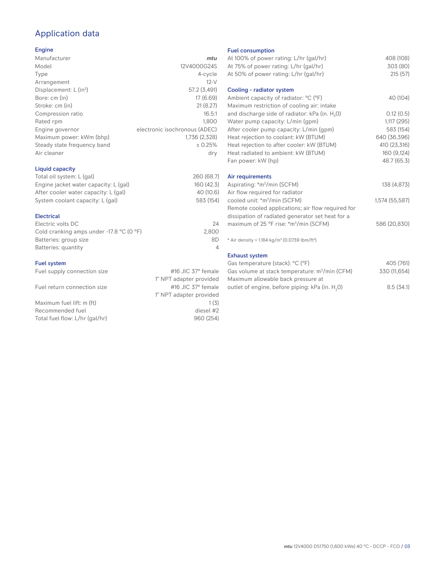# Application data

## Engine

| Manufacturer                         | mtu                           |
|--------------------------------------|-------------------------------|
| Model                                | 12V4000G24S                   |
| Type                                 | 4-cycle                       |
| Arrangement                          | $12-V$                        |
| Displacement: $L$ (in <sup>3</sup> ) | 57.2 (3,491)                  |
| Bore: cm (in)                        | 17 (6.69)                     |
| Stroke: cm (in)                      | 21(8.27)                      |
| Compression ratio                    | 16.5:1                        |
| Rated rpm                            | 1,800                         |
| Engine governor                      | electronic isochronous (ADEC) |
| Maximum power: kWm (bhp)             | 1,736 (2,328)                 |
| Steady state frequency band          | ± 0.25%                       |
| Air cleaner                          | dry                           |
|                                      |                               |

## Liquid capacity

| Total oil system: L (gal)             | 260 (68.7) |
|---------------------------------------|------------|
| Engine jacket water capacity: L (gal) | 160 (42.3) |
| After cooler water capacity: L (gal)  | 40 (10.6)  |
| System coolant capacity: L (gal)      | 583 (154)  |
|                                       |            |

#### Electrical

| 24    |
|-------|
| 2.800 |
| 8D    |
|       |
|       |

### Fuel system

| Fuel supply connection size    | #16 JIC $37^\circ$ female |
|--------------------------------|---------------------------|
|                                | 1" NPT adapter provided   |
| Fuel return connection size    | #16 JIC $37^\circ$ female |
|                                | 1" NPT adapter provided   |
| Maximum fuel lift: m (ft)      | 1(3)                      |
| Recommended fuel               | diesel #2                 |
| Total fuel flow: L/hr (gal/hr) | 960 (254)                 |
|                                |                           |

#### Fuel consumption

| At 100% of power rating: L/hr (gal/hr)<br>At 75% of power rating: L/hr (gal/hr)<br>At 50% of power rating: L/hr (gal/hr) | 408 (108)<br>303 (80)<br>215(57) |
|--------------------------------------------------------------------------------------------------------------------------|----------------------------------|
| Cooling - radiator system                                                                                                |                                  |
| Ambient capacity of radiator: °C (°F)<br>Maximum restriction of cooling air: intake                                      | 40 (104)                         |
| and discharge side of radiator: kPa (in. H <sub>2</sub> O)                                                               | 0.12(0.5)                        |
| Water pump capacity: L/min (gpm)                                                                                         | 1,117(295)                       |
| After cooler pump capacity: L/min (gpm)                                                                                  | 583 (154)                        |
| Heat rejection to coolant: kW (BTUM)                                                                                     | 640 (36,396)                     |
| Heat rejection to after cooler: kW (BTUM)                                                                                | 410 (23,316)                     |
| Heat radiated to ambient: kW (BTUM)                                                                                      | 160 (9,124)                      |
| Fan power: kW (hp)                                                                                                       | 48.7 (65.3)                      |
| Air requirements                                                                                                         |                                  |
| Aspirating: *m <sup>3</sup> /min (SCFM)                                                                                  | 138 (4,873)                      |
| Air flow required for radiator                                                                                           |                                  |
| cooled unit: *m <sup>3</sup> /min (SCFM)                                                                                 | 1,574 (55,587)                   |
| Remote cooled applications; air flow required for                                                                        |                                  |
| dissipation of radiated generator set heat for a                                                                         |                                  |
| maximum of 25 °F rise: *m <sup>3</sup> /min (SCFM)                                                                       | 586 (20,830)                     |
| * Air density = 1.184 kg/m <sup>3</sup> (0.0739 lbm/ft <sup>3</sup> )                                                    |                                  |
| <b>Exhaust system</b>                                                                                                    |                                  |
| Gas temperature (stack): °C (°F)                                                                                         | 405 (761)                        |
| Gas volume at stack temperature: m <sup>3</sup> /min (CFM)                                                               | 330 (11,654)                     |

| <u>Uus volumo ul stuon tomporuturo. m / mm (Or mj</u>       | 000110011 |
|-------------------------------------------------------------|-----------|
| Maximum allowable back pressure at                          |           |
| outlet of engine, before piping: kPa (in. H <sub>2</sub> 0) | 8.5(34.1) |